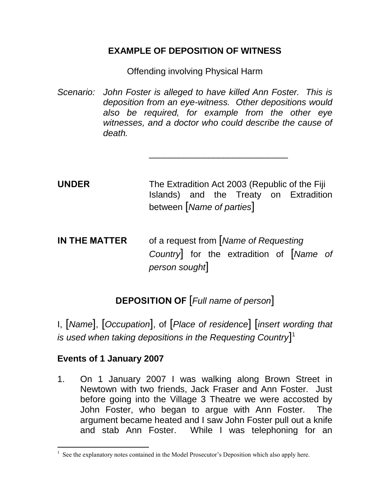## **EXAMPLE OF DEPOSITION OF WITNESS**

Offending involving Physical Harm

*Scenario: John Foster is alleged to have killed Ann Foster. This is deposition from an eye-witness. Other depositions would also be required, for example from the other eye witnesses, and a doctor who could describe the cause of death.* 

\_\_\_\_\_\_\_\_\_\_\_\_\_\_\_\_\_\_\_\_\_\_\_\_\_\_\_\_

**UNDER** The Extradition Act 2003 (Republic of the Fiji Islands) and the Treaty on Extradition between [*Name of parties*]

**IN THE MATTER** of a request from [*Name of Requesting Country*] for the extradition of [*Name of person sought*]

## **DEPOSITION OF** [*Full name of person*]

I, [*Name*], [*Occupation*], of [*Place of residence*] [*insert wording that is used when taking depositions in the Requesting Country*] 1

## **Events of 1 January 2007**

 $\overline{a}$ 

1. On 1 January 2007 I was walking along Brown Street in Newtown with two friends, Jack Fraser and Ann Foster. Just before going into the Village 3 Theatre we were accosted by John Foster, who began to argue with Ann Foster. The argument became heated and I saw John Foster pull out a knife and stab Ann Foster. While I was telephoning for an

 $<sup>1</sup>$  See the explanatory notes contained in the Model Prosecutor's Deposition which also apply here.</sup>